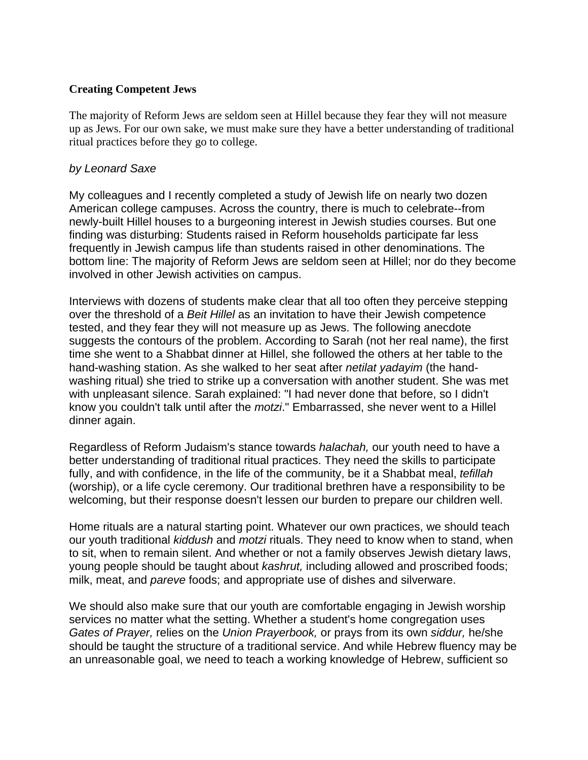## **Creating Competent Jews**

The majority of Reform Jews are seldom seen at Hillel because they fear they will not measure up as Jews. For our own sake, we must make sure they have a better understanding of traditional ritual practices before they go to college.

## *by Leonard Saxe*

My colleagues and I recently completed a study of Jewish life on nearly two dozen American college campuses. Across the country, there is much to celebrate--from newly-built Hillel houses to a burgeoning interest in Jewish studies courses. But one finding was disturbing: Students raised in Reform households participate far less frequently in Jewish campus life than students raised in other denominations. The bottom line: The majority of Reform Jews are seldom seen at Hillel; nor do they become involved in other Jewish activities on campus.

Interviews with dozens of students make clear that all too often they perceive stepping over the threshold of a *Beit Hillel* as an invitation to have their Jewish competence tested, and they fear they will not measure up as Jews. The following anecdote suggests the contours of the problem. According to Sarah (not her real name), the first time she went to a Shabbat dinner at Hillel, she followed the others at her table to the hand-washing station. As she walked to her seat after *netilat yadayim* (the handwashing ritual) she tried to strike up a conversation with another student. She was met with unpleasant silence. Sarah explained: "I had never done that before, so I didn't know you couldn't talk until after the *motzi*." Embarrassed, she never went to a Hillel dinner again.

Regardless of Reform Judaism's stance towards *halachah,* our youth need to have a better understanding of traditional ritual practices. They need the skills to participate fully, and with confidence, in the life of the community, be it a Shabbat meal, *tefillah* (worship), or a life cycle ceremony. Our traditional brethren have a responsibility to be welcoming, but their response doesn't lessen our burden to prepare our children well.

Home rituals are a natural starting point. Whatever our own practices, we should teach our youth traditional *kiddush* and *motzi* rituals. They need to know when to stand, when to sit, when to remain silent. And whether or not a family observes Jewish dietary laws, young people should be taught about *kashrut,* including allowed and proscribed foods; milk, meat, and *pareve* foods; and appropriate use of dishes and silverware.

We should also make sure that our youth are comfortable engaging in Jewish worship services no matter what the setting. Whether a student's home congregation uses *Gates of Prayer,* relies on the *Union Prayerbook,* or prays from its own *siddur,* he/she should be taught the structure of a traditional service. And while Hebrew fluency may be an unreasonable goal, we need to teach a working knowledge of Hebrew, sufficient so